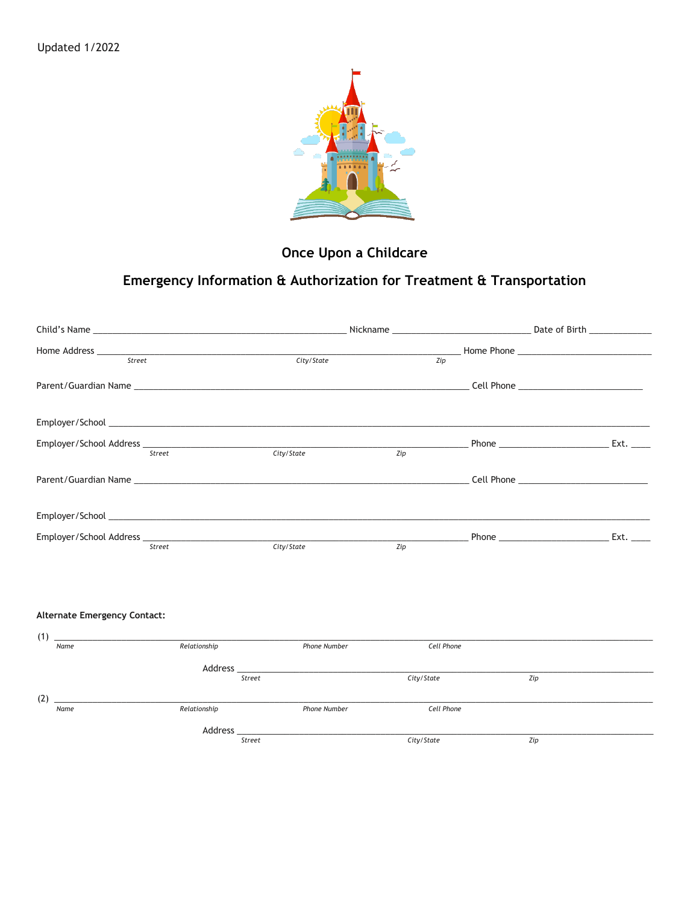

## Once Upon a Childcare

## Emergency Information & Authorization for Treatment & Transportation

| Street                                                                                                                  |              | City/State          | Zip        |                                                                                                                                                                                                                                    |      |
|-------------------------------------------------------------------------------------------------------------------------|--------------|---------------------|------------|------------------------------------------------------------------------------------------------------------------------------------------------------------------------------------------------------------------------------------|------|
| Parent/Guardian Name <b>Example 2018</b> 2019 12:00 12:00 12:00 12:00 12:00 12:00 12:00 12:00 12:00 12:00 12:00 12:00 1 |              |                     |            |                                                                                                                                                                                                                                    |      |
|                                                                                                                         |              |                     |            |                                                                                                                                                                                                                                    |      |
| Street                                                                                                                  |              | City/State          | Zip        |                                                                                                                                                                                                                                    | Ext. |
|                                                                                                                         |              |                     |            |                                                                                                                                                                                                                                    |      |
|                                                                                                                         |              |                     |            |                                                                                                                                                                                                                                    |      |
| Street                                                                                                                  |              | City/State          | Zip        | <b>Phone Contract Contract Contract Contract Contract Contract Contract Contract Contract Contract Contract Contract Contract Contract Contract Contract Contract Contract Contract Contract Contract Contract Contract Contra</b> | Ext. |
|                                                                                                                         |              |                     |            |                                                                                                                                                                                                                                    |      |
| <b>Alternate Emergency Contact:</b><br>(1)                                                                              |              |                     |            |                                                                                                                                                                                                                                    |      |
| Name                                                                                                                    | Relationship | Phone Number        | Cell Phone |                                                                                                                                                                                                                                    |      |
|                                                                                                                         | Street       |                     | City/State | Zip                                                                                                                                                                                                                                |      |
| (2)<br>Name                                                                                                             | Relationship | <b>Phone Number</b> | Cell Phone |                                                                                                                                                                                                                                    |      |

Address\_  $\overline{\text{Street}}$ 

 $City/State$ 

 $Zip$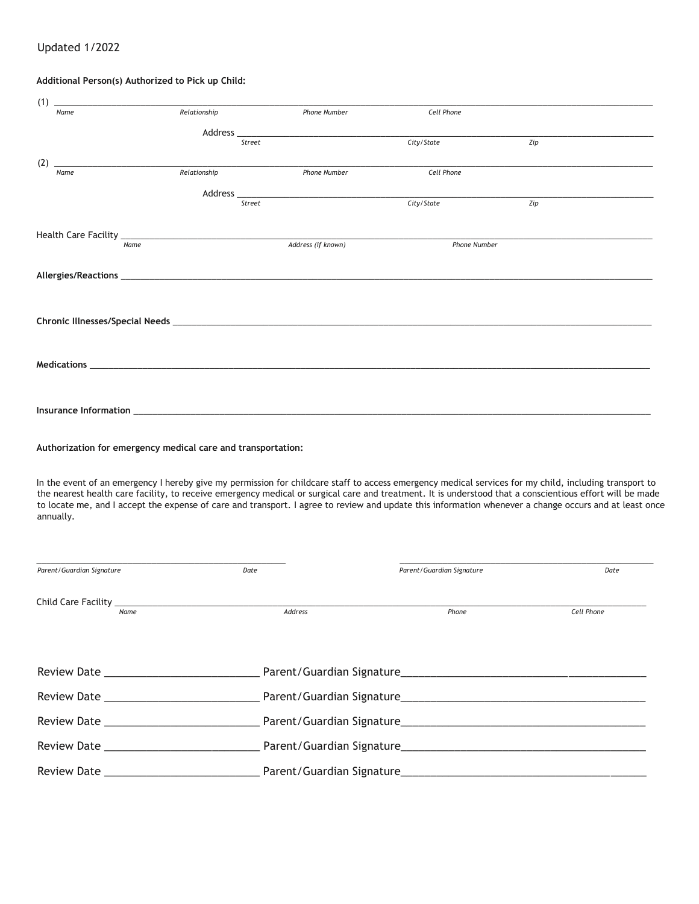## Updated 1/2022

## **Additional Person(s) Authorized to Pick up Child:**

| (1) |      |              |                     |              |     |  |
|-----|------|--------------|---------------------|--------------|-----|--|
|     | Name | Relationship | <b>Phone Number</b> | Cell Phone   |     |  |
|     |      |              |                     |              |     |  |
|     |      | Street       |                     |              | Zip |  |
| (2) |      |              |                     |              |     |  |
|     | Name | Relationship | <b>Phone Number</b> | Cell Phone   |     |  |
|     |      |              |                     |              |     |  |
|     |      | Street       |                     | City/State   | Zip |  |
|     |      |              |                     |              |     |  |
|     |      |              |                     |              |     |  |
|     | Name |              | Address (if known)  | Phone Number |     |  |
|     |      |              |                     |              |     |  |
|     |      |              |                     |              |     |  |
|     |      |              |                     |              |     |  |
|     |      |              |                     |              |     |  |
|     |      |              |                     |              |     |  |
|     |      |              |                     |              |     |  |
|     |      |              |                     |              |     |  |
|     |      |              |                     |              |     |  |
|     |      |              |                     |              |     |  |
|     |      |              |                     |              |     |  |
|     |      |              |                     |              |     |  |
|     |      |              |                     |              |     |  |
|     |      |              |                     |              |     |  |

**Authorization for emergency medical care and transportation:**

In the event of an emergency I hereby give my permission for childcare staff to access emergency medical services for my child, including transport to the nearest health care facility, to receive emergency medical or surgical care and treatment. It is understood that a conscientious effort will be made to locate me, and I accept the expense of care and transport. I agree to review and update this information whenever a change occurs and at least once annually.

| Parent/Guardian Signature     |      | Date           | Parent/Guardian Signature | Date       |
|-------------------------------|------|----------------|---------------------------|------------|
|                               | Name | <b>Address</b> | Phone                     | Cell Phone |
|                               |      |                |                           |            |
|                               |      |                |                           |            |
| Review Date <b>Example 20</b> |      |                |                           |            |
|                               |      |                |                           |            |
|                               |      |                |                           |            |
|                               |      |                |                           |            |